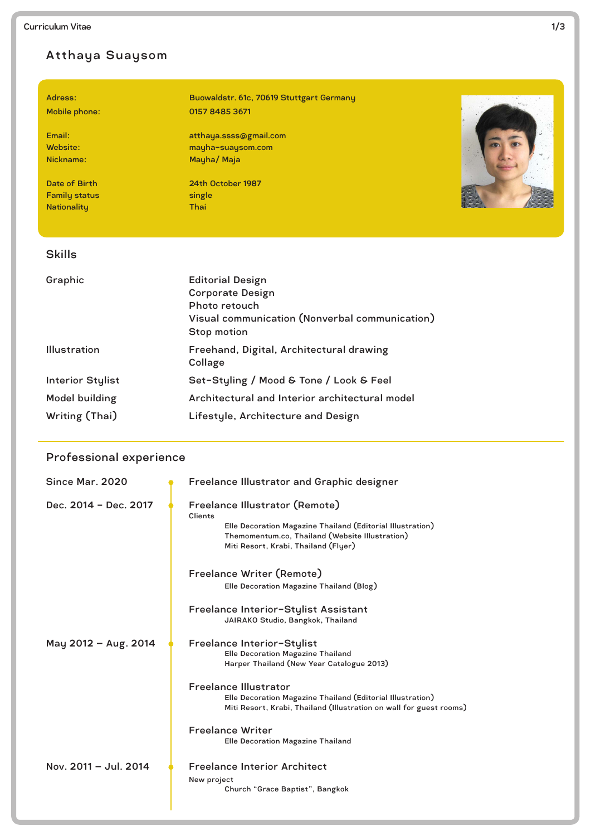# Atthaya Suaysom

Family status single Nationality Thai

Adress: Buowaldstr. 61c, 70619 Stuttgart Germany Mobile phone: 0157 8485 3671

Email: atthaya.ssss@gmail.com Website: mayha-suaysom.com Nickname: Mayha/ Maja

Date of Birth 24th October 1987



#### Skills

| Graphic                 | <b>Editorial Design</b><br><b>Corporate Design</b><br>Photo retouch<br>Visual communication (Nonverbal communication)<br>Stop motion |
|-------------------------|--------------------------------------------------------------------------------------------------------------------------------------|
| <b>Illustration</b>     | Freehand, Digital, Architectural drawing<br>Collage                                                                                  |
| <b>Interior Stylist</b> | Set-Styling / Mood & Tone / Look & Feel                                                                                              |
| Model building          | Architectural and Interior architectural model                                                                                       |
| Writing (Thai)          | Lifestyle, Architecture and Design                                                                                                   |

## Professional experience

| Since Mar. 2020       | <b>Freelance Illustrator and Graphic designer</b>                                                                                                                                                  |
|-----------------------|----------------------------------------------------------------------------------------------------------------------------------------------------------------------------------------------------|
| Dec. 2014 - Dec. 2017 | Freelance Illustrator (Remote)<br>Clients<br>Elle Decoration Magazine Thailand (Editorial Illustration)<br>Themomentum.co, Thailand (Website Illustration)<br>Miti Resort, Krabi, Thailand (Flyer) |
|                       | Freelance Writer (Remote)<br>Elle Decoration Magazine Thailand (Blog)                                                                                                                              |
|                       | Freelance Interior-Stylist Assistant<br>JAIRAKO Studio, Bangkok, Thailand                                                                                                                          |
| May 2012 - Aug. 2014  | Freelance Interior-Stylist<br><b>Elle Decoration Magazine Thailand</b><br>Harper Thailand (New Year Catalogue 2013)                                                                                |
|                       | <b>Freelance Illustrator</b><br>Elle Decoration Magazine Thailand (Editorial Illustration)<br>Miti Resort, Krabi, Thailand (Illustration on wall for guest rooms)                                  |
|                       | <b>Freelance Writer</b><br><b>Elle Decoration Magazine Thailand</b>                                                                                                                                |
| Nov. 2011 - Jul. 2014 | <b>Freelance Interior Architect</b><br>New project<br>Church "Grace Baptist", Bangkok                                                                                                              |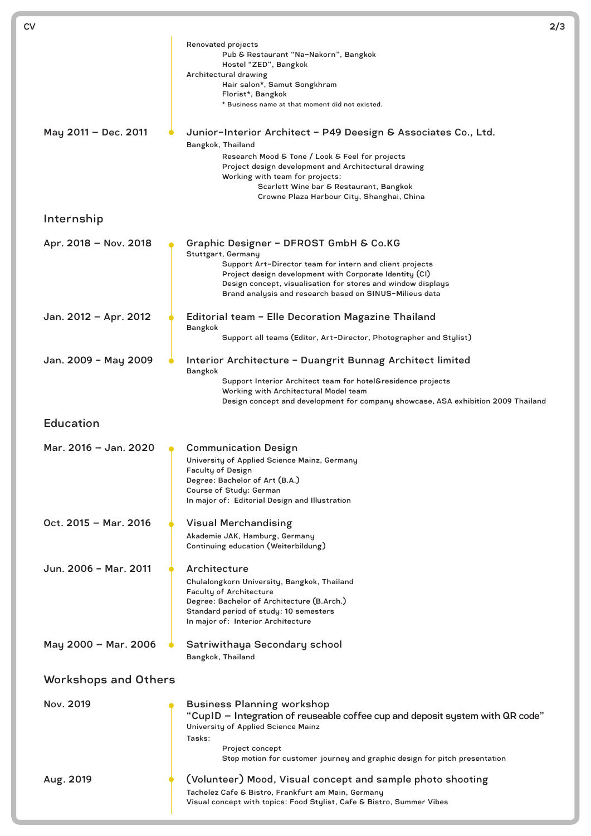| СV |                             |                                                                                                                                                                                                                                                                                                                            | 2/3 |
|----|-----------------------------|----------------------------------------------------------------------------------------------------------------------------------------------------------------------------------------------------------------------------------------------------------------------------------------------------------------------------|-----|
|    |                             | Renovated projects<br>Pub & Restaurant "Na-Nakorn", Bangkok<br>Hostel "ZED", Bangkok<br>Architectural drawing<br>Hair salon*, Samut Songkhram<br>Florist*, Bangkok<br>* Business name at that moment did not existed.                                                                                                      |     |
|    | May 2011 - Dec. 2011        | Junior-Interior Architect - P49 Deesign & Associates Co., Ltd.<br>Bangkok, Thailand<br>Research Mood & Tone / Look & Feel for projects<br>Project design development and Architectural drawing<br>Working with team for projects:<br>Scarlett Wine bar & Restaurant, Bangkok<br>Crowne Plaza Harbour City, Shanghai, China |     |
|    | Internship                  |                                                                                                                                                                                                                                                                                                                            |     |
|    | Apr. 2018 - Nov. 2018       | Graphic Designer - DFROST GmbH & Co.KG<br>Stuttgart, Germany<br>Support Art-Director team for intern and client projects<br>Project design development with Corporate Identity (CI)<br>Design concept, visualisation for stores and window displays<br>Brand analysis and research based on SINUS-Milieus data             |     |
|    | Jan. 2012 - Apr. 2012       | Editorial team - Elle Decoration Magazine Thailand<br>Bangkok<br>Support all teams (Editor, Art-Director, Photographer and Stylist)                                                                                                                                                                                        |     |
|    | Jan. 2009 - May 2009        | Interior Architecture - Duangrit Bunnag Architect limited<br><b>Bangkok</b><br>Support Interior Architect team for hotel&residence projects<br>Working with Architectural Model team<br>Design concept and development for company showcase, ASA exhibition 2009 Thailand                                                  |     |
|    | <b>Education</b>            |                                                                                                                                                                                                                                                                                                                            |     |
|    | Mar. 2016 - Jan. 2020       | <b>Communication Design</b><br>University of Applied Science Mainz, Germany<br><b>Faculty of Design</b><br>Degree: Bachelor of Art (B.A.)<br>Course of Study: German<br>In major of: Editorial Design and Illustration                                                                                                     |     |
|    | Oct. 2015 - Mar. 2016       | <b>Visual Merchandising</b><br>Akademie JAK, Hamburg, Germany<br>Continuing education (Weiterbildung)                                                                                                                                                                                                                      |     |
|    | Jun. 2006 - Mar. 2011       | Architecture<br>Chulalongkorn University, Bangkok, Thailand<br><b>Faculty of Architecture</b><br>Degree: Bachelor of Architecture (B.Arch.)<br>Standard period of study: 10 semesters<br>In major of: Interior Architecture                                                                                                |     |
|    | May 2000 - Mar. 2006        | Satriwithaya Secondary school<br>Bangkok, Thailand                                                                                                                                                                                                                                                                         |     |
|    | <b>Workshops and Others</b> |                                                                                                                                                                                                                                                                                                                            |     |
|    | Nov. 2019                   | <b>Business Planning workshop</b><br>"CupID - Integration of reuseable coffee cup and deposit system with QR code"<br>University of Applied Science Mainz<br>Tasks:<br>Project concept<br>Stop motion for customer journey and graphic design for pitch presentation                                                       |     |
|    | Aug. 2019                   | (Volunteer) Mood, Visual concept and sample photo shooting<br>Tachelez Cafe & Bistro, Frankfurt am Main, Germany<br>Visual concept with topics: Food Stylist, Cafe & Bistro, Summer Vibes                                                                                                                                  |     |